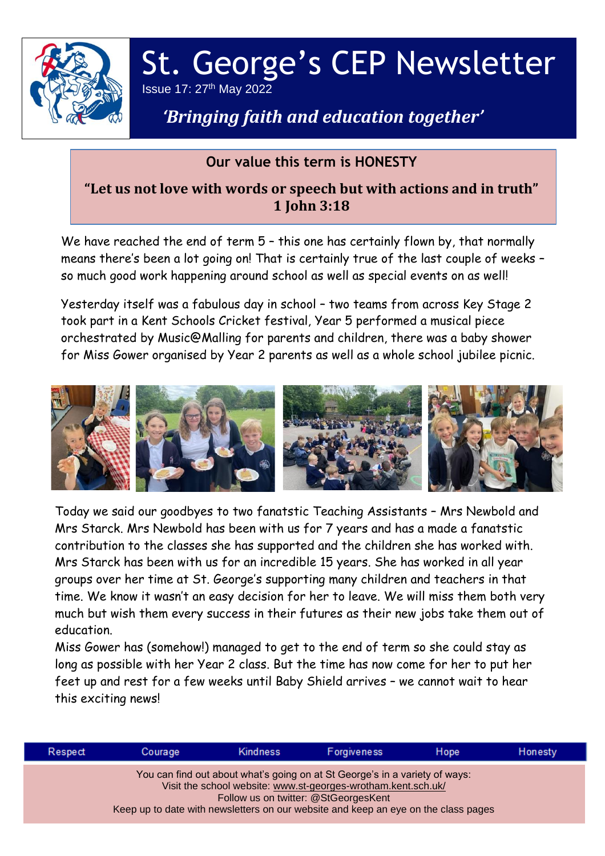

# St. George's CEP Newsletter Issue 17: 27th May 2022

## *'Bringing faith and education together'*

## **Our value this term is HONESTY**

## **"Let us not love with words or speech but with actions and in truth" 1 John 3:18**

We have reached the end of term 5 – this one has certainly flown by, that normally means there's been a lot going on! That is certainly true of the last couple of weeks – so much good work happening around school as well as special events on as well!

Yesterday itself was a fabulous day in school – two teams from across Key Stage 2 took part in a Kent Schools Cricket festival, Year 5 performed a musical piece orchestrated by Music@Malling for parents and children, there was a baby shower for Miss Gower organised by Year 2 parents as well as a whole school jubilee picnic.



Today we said our goodbyes to two fanatstic Teaching Assistants – Mrs Newbold and Mrs Starck. Mrs Newbold has been with us for 7 years and has a made a fanatstic contribution to the classes she has supported and the children she has worked with. Mrs Starck has been with us for an incredible 15 years. She has worked in all year groups over her time at St. George's supporting many children and teachers in that time. We know it wasn't an easy decision for her to leave. We will miss them both very much but wish them every success in their futures as their new jobs take them out of education.

Miss Gower has (somehow!) managed to get to the end of term so she could stay as long as possible with her Year 2 class. But the time has now come for her to put her feet up and rest for a few weeks until Baby Shield arrives – we cannot wait to hear this exciting news!

| Respect                                                                                                                                                                                                                                                                    | Courage | <b>Kindness</b> | Forgiveness | Hope | Honesty |  |  |
|----------------------------------------------------------------------------------------------------------------------------------------------------------------------------------------------------------------------------------------------------------------------------|---------|-----------------|-------------|------|---------|--|--|
| You can find out about what's going on at St George's in a variety of ways:<br>Visit the school website: www.st-georges-wrotham.kent.sch.uk/<br>Follow us on twitter: @StGeorgesKent<br>Keep up to date with newsletters on our website and keep an eye on the class pages |         |                 |             |      |         |  |  |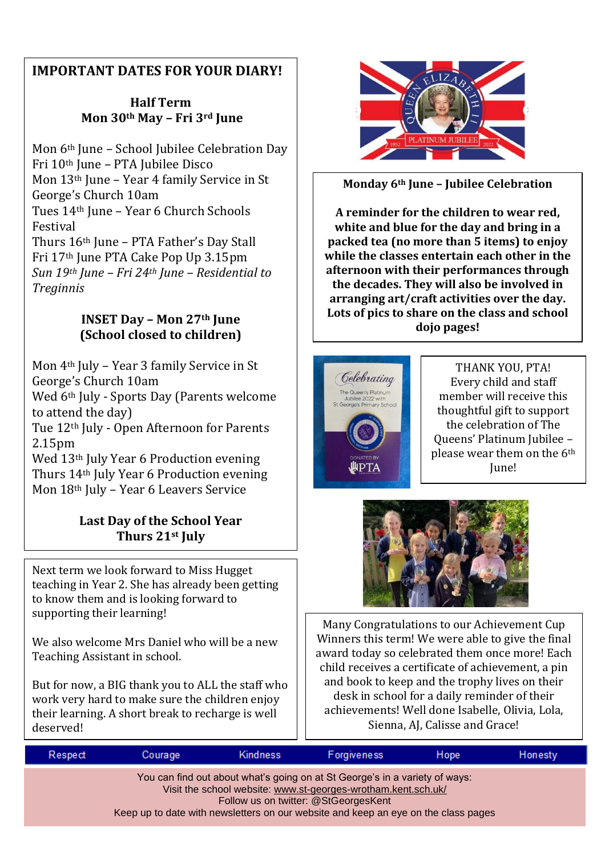## **IMPORTANT DATES FOR YOUR DIARY!**

### **Half Term Mon 30th May – Fri 3rd June**

Mon 6th June – School Jubilee Celebration Day Fri 10th June – PTA Jubilee Disco Mon 13th June – Year 4 family Service in St George's Church 10am Tues 14th June – Year 6 Church Schools Festival Thurs 16th June – PTA Father's Day Stall Fri 17th June PTA Cake Pop Up 3.15pm *Sun 19th June – Fri 24th June – Residential to Treginnis*

#### **INSET Day – Mon 27th June (School closed to children)**

Mon 4th July – Year 3 family Service in St George's Church 10am

Wed 6<sup>th</sup> July - Sports Day (Parents welcome to attend the day)

Tue 12<sup>th</sup> July - Open Afternoon for Parents 2.15pm

Wed 13<sup>th</sup> July Year 6 Production evening Thurs 14<sup>th</sup> July Year 6 Production evening Mon 18<sup>th</sup> July - Year 6 Leavers Service

### **Last Day of the School Year Thurs 21st July**

Next term we look forward to Miss Hugget teaching in Year 2. She has already been getting to know them and is looking forward to supporting their learning!

We also welcome Mrs Daniel who will be a new Teaching Assistant in school.

But for now, a BIG thank you to ALL the staff who work very hard to make sure the children enjoy their learning. A short break to recharge is well deserved!



**Monday 6th June – Jubilee Celebration**

**A reminder for the children to wear red, white and blue for the day and bring in a packed tea (no more than 5 items) to enjoy while the classes entertain each other in the afternoon with their performances through the decades. They will also be involved in arranging art/craft activities over the day. Lots of pics to share on the class and school dojo pages!**



THANK YOU, PTA! Every child and staff member will receive this thoughtful gift to support the celebration of The Queens' Platinum Jubilee – please wear them on the 6th June!



Many Congratulations to our Achievement Cup Winners this term! We were able to give the final award today so celebrated them once more! Each child receives a certificate of achievement, a pin and book to keep and the trophy lives on their desk in school for a daily reminder of their achievements! Well done Isabelle, Olivia, Lola, Sienna, AJ, Calisse and Grace!

| Respect                                                                                                                                                                                                                                                                    | Courage | <b>Kindness</b> | <b>Forgiveness</b> | Hope | Honesty |  |  |  |
|----------------------------------------------------------------------------------------------------------------------------------------------------------------------------------------------------------------------------------------------------------------------------|---------|-----------------|--------------------|------|---------|--|--|--|
| You can find out about what's going on at St George's in a variety of ways:<br>Visit the school website: www.st-georges-wrotham.kent.sch.uk/<br>Follow us on twitter: @StGeorgesKent<br>Keep up to date with newsletters on our website and keep an eye on the class pages |         |                 |                    |      |         |  |  |  |